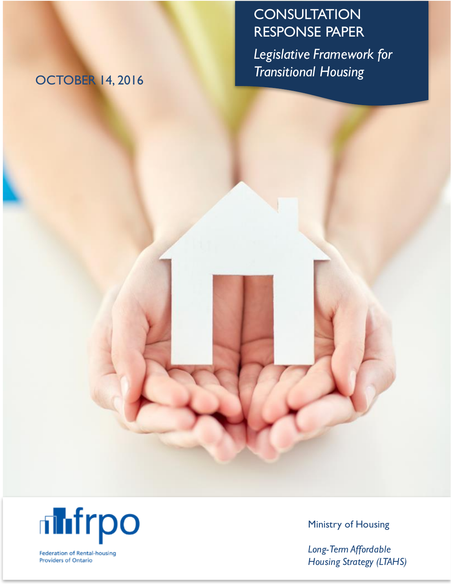# **CONSULTATION** RESPONSE PAPER

*Legislative Framework for Transitional Housing* OCTOBER 14, <sup>2016</sup>



**Federation of Rental-housing** Providers of Ontario

Ministry of Housing

*Long-Term Affordable H ousing Strategy (LTAH S)*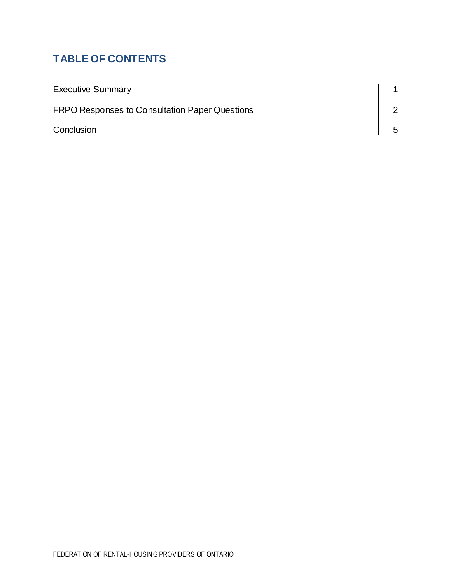# **TABLE OF CONTENTS**

| <b>Executive Summary</b>                              |   |
|-------------------------------------------------------|---|
| <b>FRPO Responses to Consultation Paper Questions</b> |   |
| Conclusion                                            | 5 |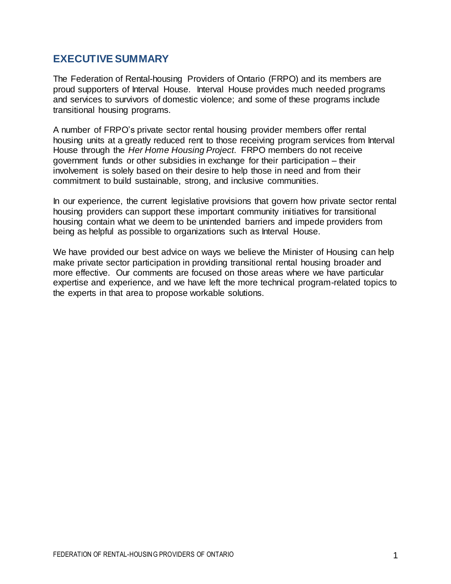## **EXECUTIVE SUMMARY**

The Federation of Rental-housing Providers of Ontario (FRPO) and its members are proud supporters of Interval House. Interval House provides much needed programs and services to survivors of domestic violence; and some of these programs include transitional housing programs.

A number of FRPO's private sector rental housing provider members offer rental housing units at a greatly reduced rent to those receiving program services from Interval House through the *Her Home Housing Project*. FRPO members do not receive government funds or other subsidies in exchange for their participation – their involvement is solely based on their desire to help those in need and from their commitment to build sustainable, strong, and inclusive communities.

In our experience, the current legislative provisions that govern how private sector rental housing providers can support these important community initiatives for transitional housing contain what we deem to be unintended barriers and impede providers from being as helpful as possible to organizations such as Interval House.

We have provided our best advice on ways we believe the Minister of Housing can help make private sector participation in providing transitional rental housing broader and more effective. Our comments are focused on those areas where we have particular expertise and experience, and we have left the more technical program-related topics to the experts in that area to propose workable solutions.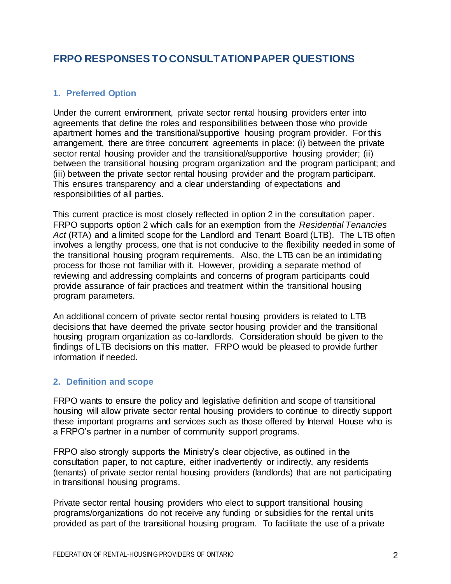# **FRPO RESPONSES TO CONSULTATION PAPER QUESTIONS**

#### **1. Preferred Option**

Under the current environment, private sector rental housing providers enter into agreements that define the roles and responsibilities between those who provide apartment homes and the transitional/supportive housing program provider. For this arrangement, there are three concurrent agreements in place: (i) between the private sector rental housing provider and the transitional/supportive housing provider; (ii) between the transitional housing program organization and the program participant; and (iii) between the private sector rental housing provider and the program participant. This ensures transparency and a clear understanding of expectations and responsibilities of all parties.

This current practice is most closely reflected in option 2 in the consultation paper. FRPO supports option 2 which calls for an exemption from the *Residential Tenancies Act* (RTA) and a limited scope for the Landlord and Tenant Board (LTB). The LTB often involves a lengthy process, one that is not conducive to the flexibility needed in some of the transitional housing program requirements. Also, the LTB can be an intimidating process for those not familiar with it. However, providing a separate method of reviewing and addressing complaints and concerns of program participants could provide assurance of fair practices and treatment within the transitional housing program parameters.

An additional concern of private sector rental housing providers is related to LTB decisions that have deemed the private sector housing provider and the transitional housing program organization as co-landlords. Consideration should be given to the findings of LTB decisions on this matter. FRPO would be pleased to provide further information if needed.

#### **2. Definition and scope**

FRPO wants to ensure the policy and legislative definition and scope of transitional housing will allow private sector rental housing providers to continue to directly support these important programs and services such as those offered by Interval House who is a FRPO's partner in a number of community support programs.

FRPO also strongly supports the Ministry's clear objective, as outlined in the consultation paper, to not capture, either inadvertently or indirectly, any residents (tenants) of private sector rental housing providers (landlords) that are not participating in transitional housing programs.

Private sector rental housing providers who elect to support transitional housing programs/organizations do not receive any funding or subsidies for the rental units provided as part of the transitional housing program. To facilitate the use of a private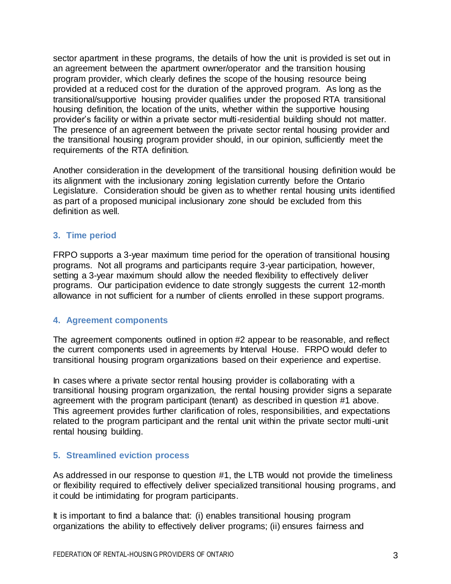sector apartment in these programs, the details of how the unit is provided is set out in an agreement between the apartment owner/operator and the transition housing program provider, which clearly defines the scope of the housing resource being provided at a reduced cost for the duration of the approved program. As long as the transitional/supportive housing provider qualifies under the proposed RTA transitional housing definition, the location of the units, whether within the supportive housing provider's facility or within a private sector multi-residential building should not matter. The presence of an agreement between the private sector rental housing provider and the transitional housing program provider should, in our opinion, sufficiently meet the requirements of the RTA definition.

Another consideration in the development of the transitional housing definition would be its alignment with the inclusionary zoning legislation currently before the Ontario Legislature. Consideration should be given as to whether rental housing units identified as part of a proposed municipal inclusionary zone should be excluded from this definition as well.

#### **3. Time period**

FRPO supports a 3-year maximum time period for the operation of transitional housing programs. Not all programs and participants require 3-year participation, however, setting a 3-year maximum should allow the needed flexibility to effectively deliver programs. Our participation evidence to date strongly suggests the current 12-month allowance in not sufficient for a number of clients enrolled in these support programs.

#### **4. Agreement components**

The agreement components outlined in option #2 appear to be reasonable, and reflect the current components used in agreements by Interval House. FRPO would defer to transitional housing program organizations based on their experience and expertise.

In cases where a private sector rental housing provider is collaborating with a transitional housing program organization, the rental housing provider signs a separate agreement with the program participant (tenant) as described in question #1 above. This agreement provides further clarification of roles, responsibilities, and expectations related to the program participant and the rental unit within the private sector multi-unit rental housing building.

#### **5. Streamlined eviction process**

As addressed in our response to question #1, the LTB would not provide the timeliness or flexibility required to effectively deliver specialized transitional housing programs, and it could be intimidating for program participants.

It is important to find a balance that: (i) enables transitional housing program organizations the ability to effectively deliver programs; (ii) ensures fairness and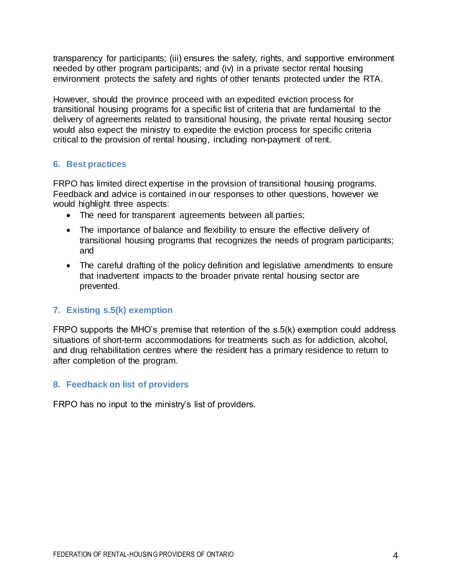transparency for participants; (iii) ensures the safety, rights, and supportive environment needed by other program participants; and (iv) in a private sector rental housing environment protects the safety and rights of other tenants protected under the RTA.

However, should the province proceed with an expedited eviction process for transitional housing programs for a specific list of criteria that are fundamental to the delivery of agreements related to transitional housing, the private rental housing sector would also expect the ministry to expedite the eviction process for specific criteria critical to the provision of rental housing, including non-payment of rent.

#### **6. Best practices**

FRPO has limited direct expertise in the provision of transitional housing programs. Feedback and advice is contained in our responses to other questions, however we would highlight three aspects:

- The need for transparent agreements between all parties;
- The importance of balance and flexibility to ensure the effective delivery of transitional housing programs that recognizes the needs of program participants; and
- The careful drafting of the policy definition and legislative amendments to ensure that inadvertent impacts to the broader private rental housing sector are prevented.

### **7. Existing s.5(k) exemption**

FRPO supports the MHO's premise that retention of the s.5(k) exemption could address situations of short-term accommodations for treatments such as for addiction, alcohol, and drug rehabilitation centres where the resident has a primary residence to return to after completion of the program.

#### **8. Feedback on list of providers**

FRPO has no input to the ministry's list of providers.